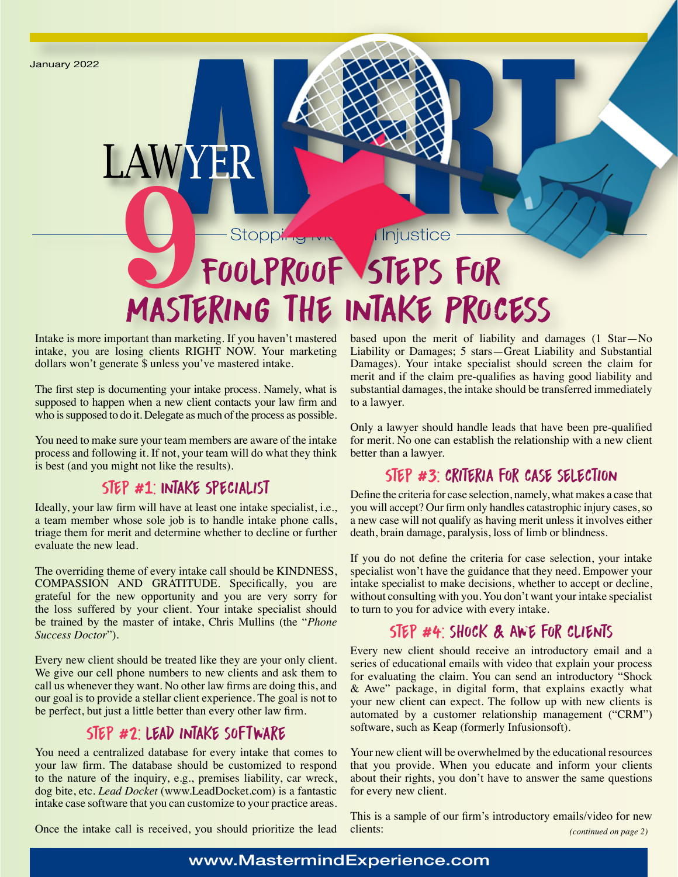

Intake is more important than marketing. If you haven't mastered intake, you are losing clients RIGHT NOW. Your marketing dollars won't generate \$ unless you've mastered intake.

The first step is documenting your intake process. Namely, what is supposed to happen when a new client contacts your law firm and who is supposed to do it. Delegate as much of the process as possible.

You need to make sure your team members are aware of the intake process and following it. If not, your team will do what they think is best (and you might not like the results).

## Step #1: Intake Specialist

Ideally, your law firm will have at least one intake specialist, i.e., a team member whose sole job is to handle intake phone calls, triage them for merit and determine whether to decline or further evaluate the new lead.

The overriding theme of every intake call should be KINDNESS, COMPASSION AND GRATITUDE. Specifically, you are grateful for the new opportunity and you are very sorry for the loss suffered by your client. Your intake specialist should be trained by the master of intake, Chris Mullins (the "*Phone Success Doctor*").

Every new client should be treated like they are your only client. We give our cell phone numbers to new clients and ask them to call us whenever they want. No other law firms are doing this, and our goal is to provide a stellar client experience. The goal is not to be perfect, but just a little better than every other law firm.

# Step #2: lead intake software

You need a centralized database for every intake that comes to your law firm. The database should be customized to respond to the nature of the inquiry, e.g., premises liability, car wreck, dog bite, etc. *Lead Docket* (www.LeadDocket.com) is a fantastic intake case software that you can customize to your practice areas.

based upon the merit of liability and damages (1 Star—No Liability or Damages; 5 stars—Great Liability and Substantial Damages). Your intake specialist should screen the claim for merit and if the claim pre-qualifies as having good liability and substantial damages, the intake should be transferred immediately to a lawyer.

Only a lawyer should handle leads that have been pre-qualified for merit. No one can establish the relationship with a new client better than a lawyer.

# STEP #3: CRITERIA FOR CASE SELECTION

Define the criteria for case selection, namely, what makes a case that you will accept? Our firm only handles catastrophic injury cases, so a new case will not qualify as having merit unless it involves either death, brain damage, paralysis, loss of limb or blindness.

If you do not define the criteria for case selection, your intake specialist won't have the guidance that they need. Empower your intake specialist to make decisions, whether to accept or decline, without consulting with you. You don't want your intake specialist to turn to you for advice with every intake.

## Step #4: shock & Awe for clients

Every new client should receive an introductory email and a series of educational emails with video that explain your process for evaluating the claim. You can send an introductory "Shock & Awe" package, in digital form, that explains exactly what your new client can expect. The follow up with new clients is automated by a customer relationship management ("CRM") software, such as Keap (formerly Infusionsoft).

Your new client will be overwhelmed by the educational resources that you provide. When you educate and inform your clients about their rights, you don't have to answer the same questions for every new client.

This is a sample of our firm's introductory emails/video for new clients: *(continued on page 2)*

Once the intake call is received, you should prioritize the lead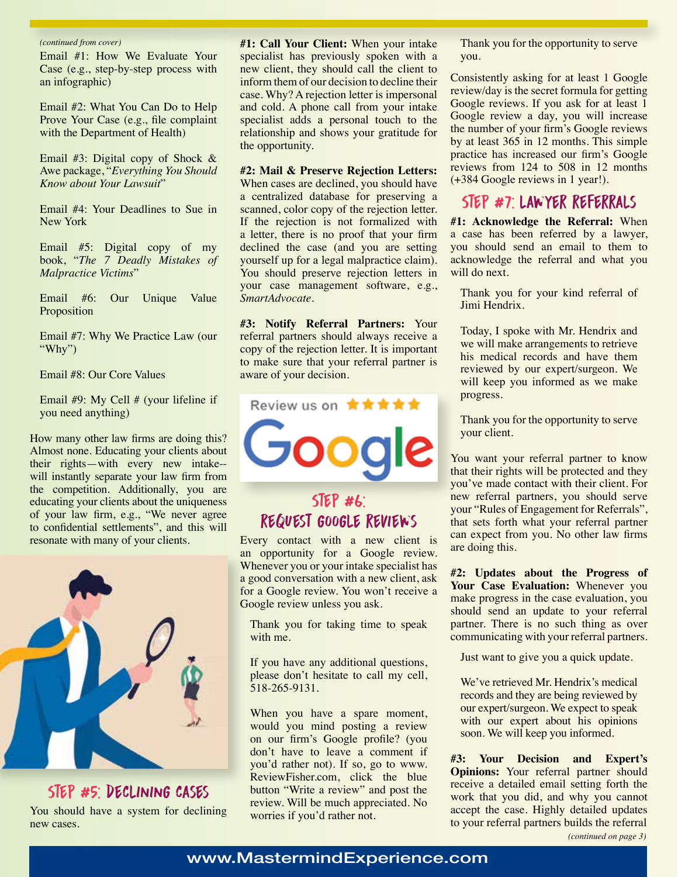#### *(continued from cover)*

Email #1: How We Evaluate Your Case (e.g., step-by-step process with an infographic)

Email #2: What You Can Do to Help Prove Your Case (e.g., file complaint with the Department of Health)

Email #3: Digital copy of Shock & Awe package, "*Everything You Should Know about Your Lawsuit*"

Email #4: Your Deadlines to Sue in New York

Email #5: Digital copy of my book, "*The 7 Deadly Mistakes of Malpractice Victims*"

Email #6: Our Unique Value Proposition

Email #7: Why We Practice Law (our "Why")

Email #8: Our Core Values

Email #9: My Cell # (your lifeline if you need anything)

How many other law firms are doing this? Almost none. Educating your clients about their rights—with every new intake- will instantly separate your law firm from the competition. Additionally, you are educating your clients about the uniqueness of your law firm, e.g., "We never agree to confidential settlements", and this will resonate with many of your clients.



Step #5: declining cases You should have a system for declining new cases.

**#1: Call Your Client:** When your intake specialist has previously spoken with a new client, they should call the client to inform them of our decision to decline their case. Why? A rejection letter is impersonal and cold. A phone call from your intake specialist adds a personal touch to the relationship and shows your gratitude for the opportunity.

**#2: Mail & Preserve Rejection Letters:** 

When cases are declined, you should have a centralized database for preserving a scanned, color copy of the rejection letter. If the rejection is not formalized with a letter, there is no proof that your firm declined the case (and you are setting yourself up for a legal malpractice claim). You should preserve rejection letters in your case management software, e.g., *SmartAdvocate.* 

**#3: Notify Referral Partners:** Your referral partners should always receive a copy of the rejection letter. It is important to make sure that your referral partner is aware of your decision.



# Step #6: request google reviews

Every contact with a new client is an opportunity for a Google review. Whenever you or your intake specialist has a good conversation with a new client, ask for a Google review. You won't receive a Google review unless you ask.

Thank you for taking time to speak with me.

If you have any additional questions, please don't hesitate to call my cell, 518-265-9131.

When you have a spare moment, would you mind posting a review on our firm's Google profile? (you don't have to leave a comment if you'd rather not). If so, go to www. ReviewFisher.com, click the blue button "Write a review" and post the review. Will be much appreciated. No worries if you'd rather not.

Thank you for the opportunity to serve you.

Consistently asking for at least 1 Google review/day is the secret formula for getting Google reviews. If you ask for at least 1 Google review a day, you will increase the number of your firm's Google reviews by at least 365 in 12 months. This simple practice has increased our firm's Google reviews from 124 to 508 in 12 months (+384 Google reviews in 1 year!).

## Step #7: lawyer referrals

**#1: Acknowledge the Referral:** When a case has been referred by a lawyer, you should send an email to them to acknowledge the referral and what you will do next.

Thank you for your kind referral of Jimi Hendrix.

Today, I spoke with Mr. Hendrix and we will make arrangements to retrieve his medical records and have them reviewed by our expert/surgeon. We will keep you informed as we make progress.

Thank you for the opportunity to serve your client.

You want your referral partner to know that their rights will be protected and they you've made contact with their client. For new referral partners, you should serve your "Rules of Engagement for Referrals", that sets forth what your referral partner can expect from you. No other law firms are doing this.

**#2: Updates about the Progress of**  Your Case Evaluation: Whenever you make progress in the case evaluation, you should send an update to your referral partner. There is no such thing as over communicating with your referral partners.

Just want to give you a quick update.

We've retrieved Mr. Hendrix's medical records and they are being reviewed by our expert/surgeon. We expect to speak with our expert about his opinions soon. We will keep you informed.

**#3: Your Decision and Expert's Opinions:** Your referral partner should receive a detailed email setting forth the work that you did, and why you cannot accept the case. Highly detailed updates to your referral partners builds the referral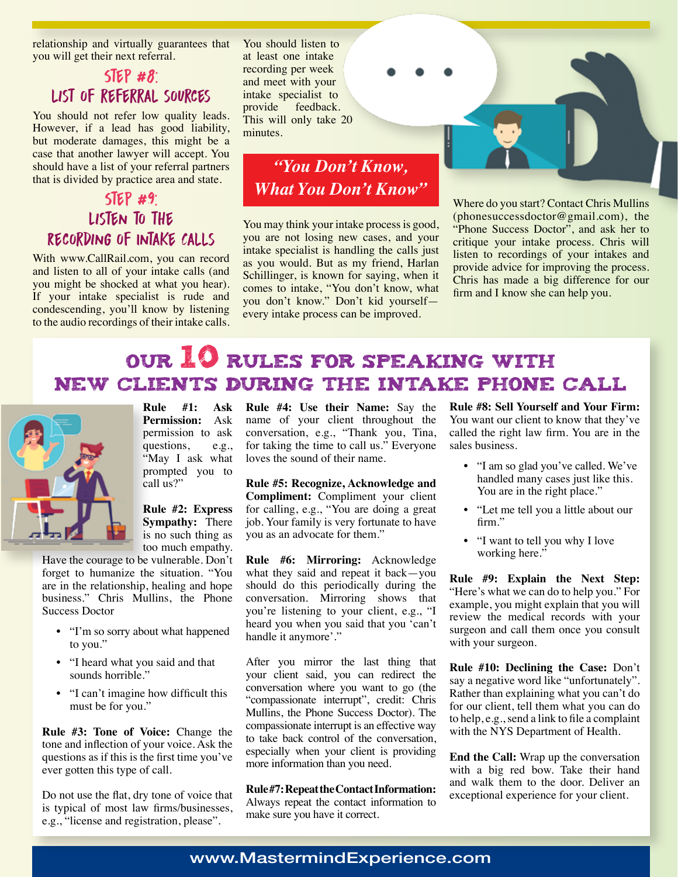relationship and virtually guarantees that you will get their next referral.

# $SIEP$  #8: list of referral sources

You should not refer low quality leads. However, if a lead has good liability, but moderate damages, this might be a case that another lawyer will accept. You should have a list of your referral partners that is divided by practice area and state.

## $SIEP$  #9: Listen to the Recording of Intake Calls

With www.CallRail.com, you can record and listen to all of your intake calls (and you might be shocked at what you hear). If your intake specialist is rude and condescending, you'll know by listening to the audio recordings of their intake calls.

You should listen to at least one intake recording per week and meet with your intake specialist to provide feedback. This will only take 20 minutes.

# *"You Don't Know, What You Don't Know"*

You may think your intake process is good, you are not losing new cases, and your intake specialist is handling the calls just as you would. But as my friend, Harlan Schillinger, is known for saying, when it comes to intake, "You don't know, what you don't know." Don't kid yourself every intake process can be improved.



Where do you start? Contact Chris Mullins (phonesuccessdoctor@gmail.com), the "Phone Success Doctor", and ask her to critique your intake process. Chris will listen to recordings of your intakes and provide advice for improving the process. Chris has made a big difference for our firm and I know she can help you.

# Our 10 Rules for Speaking with New Clients during the Intake Phone Call



**Rule #1: Ask Permission:** Ask permission to ask questions, e.g., "May I ask what prompted you to call us?"

**Rule #2: Express Sympathy:** There is no such thing as too much empathy.

Have the courage to be vulnerable. Don't forget to humanize the situation. "You are in the relationship, healing and hope business." Chris Mullins, the Phone Success Doctor

- "I'm so sorry about what happened to you."
- "I heard what you said and that sounds horrible."
- "I can't imagine how difficult this must be for you."

**Rule #3: Tone of Voice:** Change the tone and inflection of your voice. Ask the questions as if this is the first time you've ever gotten this type of call.

Do not use the flat, dry tone of voice that is typical of most law firms/businesses, e.g., "license and registration, please".

**Rule #4: Use their Name:** Say the name of your client throughout the conversation, e.g., "Thank you, Tina, for taking the time to call us." Everyone loves the sound of their name.

**Rule #5: Recognize, Acknowledge and Compliment:** Compliment your client for calling, e.g., "You are doing a great job. Your family is very fortunate to have you as an advocate for them."

**Rule #6: Mirroring:** Acknowledge what they said and repeat it back—you should do this periodically during the conversation. Mirroring shows that you're listening to your client, e.g., "I heard you when you said that you 'can't handle it anymore'."

After you mirror the last thing that your client said, you can redirect the conversation where you want to go (the "compassionate interrupt", credit: Chris Mullins, the Phone Success Doctor). The compassionate interrupt is an effective way to take back control of the conversation, especially when your client is providing more information than you need.

**Rule #7: Repeat the Contact Information:**  Always repeat the contact information to make sure you have it correct.

**Rule #8: Sell Yourself and Your Firm:**  You want our client to know that they've called the right law firm. You are in the sales business.

- "I am so glad you've called. We've handled many cases just like this. You are in the right place."
- "Let me tell you a little about our firm."
- "I want to tell you why I love working here."

**Rule #9: Explain the Next Step:**  "Here's what we can do to help you." For example, you might explain that you will review the medical records with your surgeon and call them once you consult with your surgeon.

**Rule #10: Declining the Case:** Don't say a negative word like "unfortunately". Rather than explaining what you can't do for our client, tell them what you can do to help, e.g., send a link to file a complaint with the NYS Department of Health.

**End the Call:** Wrap up the conversation with a big red bow. Take their hand and walk them to the door. Deliver an exceptional experience for your client.